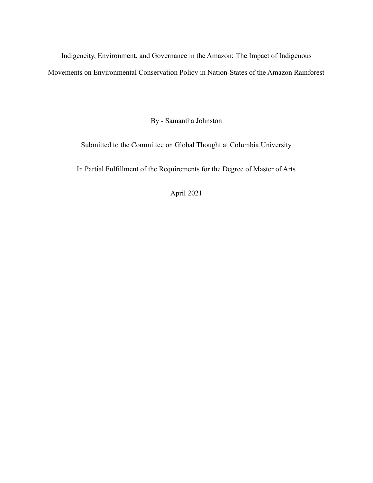Indigeneity, Environment, and Governance in the Amazon: The Impact of Indigenous Movements on Environmental Conservation Policy in Nation-States of the Amazon Rainforest

By - Samantha Johnston

Submitted to the Committee on Global Thought at Columbia University

In Partial Fulfillment of the Requirements for the Degree of Master of Arts

April 2021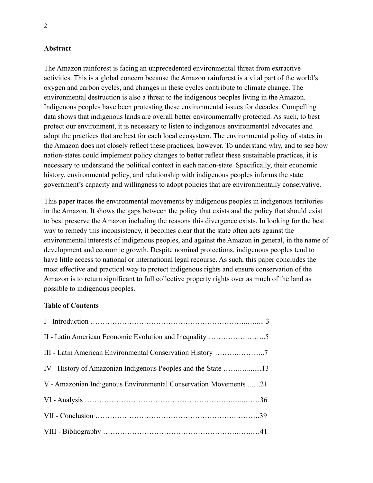## **Abstract**

The Amazon rainforest is facing an unprecedented environmental threat from extractive activities. This is a global concern because the Amazon rainforest is a vital part of the world's oxygen and carbon cycles, and changes in these cycles contribute to climate change. The environmental destruction is also a threat to the indigenous peoples living in the Amazon. Indigenous peoples have been protesting these environmental issues for decades. Compelling data shows that indigenous lands are overall better environmentally protected. As such, to best protect our environment, it is necessary to listen to indigenous environmental advocates and adopt the practices that are best for each local ecosystem. The environmental policy of states in the Amazon does not closely reflect these practices, however. To understand why, and to see how nation-states could implement policy changes to better reflect these sustainable practices, it is necessary to understand the political context in each nation-state. Specifically, their economic history, environmental policy, and relationship with indigenous peoples informs the state government's capacity and willingness to adopt policies that are environmentally conservative.

This paper traces the environmental movements by indigenous peoples in indigenous territories in the Amazon. It shows the gaps between the policy that exists and the policy that should exist to best preserve the Amazon including the reasons this divergence exists. In looking for the best way to remedy this inconsistency, it becomes clear that the state often acts against the environmental interests of indigenous peoples, and against the Amazon in general, in the name of development and economic growth. Despite nominal protections, indigenous peoples tend to have little access to national or international legal recourse. As such, this paper concludes the most effective and practical way to protect indigenous rights and ensure conservation of the Amazon is to return significant to full collective property rights over as much of the land as possible to indigenous peoples.

# **Table of Contents**

| V - Amazonian Indigenous Environmental Conservation Movements 21 |  |
|------------------------------------------------------------------|--|
|                                                                  |  |
|                                                                  |  |
|                                                                  |  |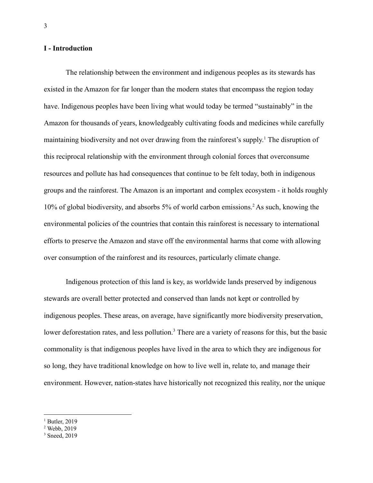### **I - Introduction**

The relationship between the environment and indigenous peoples as its stewards has existed in the Amazon for far longer than the modern states that encompass the region today have. Indigenous peoples have been living what would today be termed "sustainably" in the Amazon for thousands of years, knowledgeably cultivating foods and medicines while carefully maintaining biodiversity and not over drawing from the rainforest's supply. <sup>1</sup> The disruption of this reciprocal relationship with the environment through colonial forces that overconsume resources and pollute has had consequences that continue to be felt today, both in indigenous groups and the rainforest. The Amazon is an important and complex ecosystem - it holds roughly 10% of global biodiversity, and absorbs 5% of world carbon emissions.<sup>2</sup> As such, knowing the environmental policies of the countries that contain this rainforest is necessary to international efforts to preserve the Amazon and stave off the environmental harms that come with allowing over consumption of the rainforest and its resources, particularly climate change.

Indigenous protection of this land is key, as worldwide lands preserved by indigenous stewards are overall better protected and conserved than lands not kept or controlled by indigenous peoples. These areas, on average, have significantly more biodiversity preservation, lower deforestation rates, and less pollution.<sup>3</sup> There are a variety of reasons for this, but the basic commonality is that indigenous peoples have lived in the area to which they are indigenous for so long, they have traditional knowledge on how to live well in, relate to, and manage their environment. However, nation-states have historically not recognized this reality, nor the unique

 $<sup>1</sup>$  Butler, 2019</sup>

 $2$  Webb, 2019

<sup>&</sup>lt;sup>3</sup> Sneed, 2019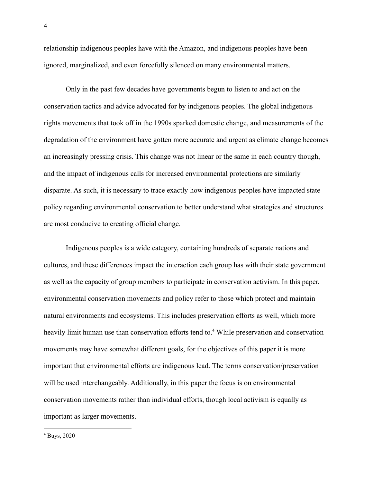relationship indigenous peoples have with the Amazon, and indigenous peoples have been ignored, marginalized, and even forcefully silenced on many environmental matters.

Only in the past few decades have governments begun to listen to and act on the conservation tactics and advice advocated for by indigenous peoples. The global indigenous rights movements that took off in the 1990s sparked domestic change, and measurements of the degradation of the environment have gotten more accurate and urgent as climate change becomes an increasingly pressing crisis. This change was not linear or the same in each country though, and the impact of indigenous calls for increased environmental protections are similarly disparate. As such, it is necessary to trace exactly how indigenous peoples have impacted state policy regarding environmental conservation to better understand what strategies and structures are most conducive to creating official change.

Indigenous peoples is a wide category, containing hundreds of separate nations and cultures, and these differences impact the interaction each group has with their state government as well as the capacity of group members to participate in conservation activism. In this paper, environmental conservation movements and policy refer to those which protect and maintain natural environments and ecosystems. This includes preservation efforts as well, which more heavily limit human use than conservation efforts tend to.<sup>4</sup> While preservation and conservation movements may have somewhat different goals, for the objectives of this paper it is more important that environmental efforts are indigenous lead. The terms conservation/preservation will be used interchangeably. Additionally, in this paper the focus is on environmental conservation movements rather than individual efforts, though local activism is equally as important as larger movements.

<sup>4</sup> Buys, 2020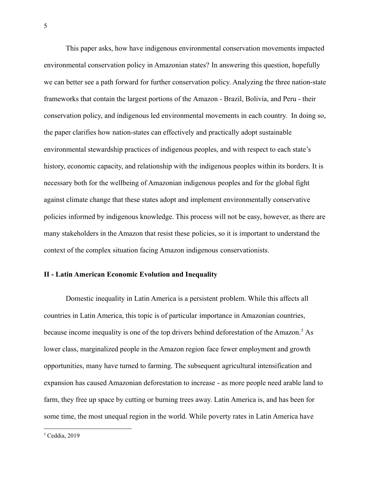This paper asks, how have indigenous environmental conservation movements impacted environmental conservation policy in Amazonian states? In answering this question, hopefully we can better see a path forward for further conservation policy. Analyzing the three nation-state frameworks that contain the largest portions of the Amazon - Brazil, Bolivia, and Peru - their conservation policy, and indigenous led environmental movements in each country. In doing so, the paper clarifies how nation-states can effectively and practically adopt sustainable environmental stewardship practices of indigenous peoples, and with respect to each state's history, economic capacity, and relationship with the indigenous peoples within its borders. It is necessary both for the wellbeing of Amazonian indigenous peoples and for the global fight against climate change that these states adopt and implement environmentally conservative policies informed by indigenous knowledge. This process will not be easy, however, as there are many stakeholders in the Amazon that resist these policies, so it is important to understand the context of the complex situation facing Amazon indigenous conservationists.

### **II - Latin American Economic Evolution and Inequality**

Domestic inequality in Latin America is a persistent problem. While this affects all countries in Latin America, this topic is of particular importance in Amazonian countries, because income inequality is one of the top drivers behind deforestation of the Amazon.<sup>5</sup> As lower class, marginalized people in the Amazon region face fewer employment and growth opportunities, many have turned to farming. The subsequent agricultural intensification and expansion has caused Amazonian deforestation to increase - as more people need arable land to farm, they free up space by cutting or burning trees away. Latin America is, and has been for some time, the most unequal region in the world. While poverty rates in Latin America have

 $5$  Ceddia, 2019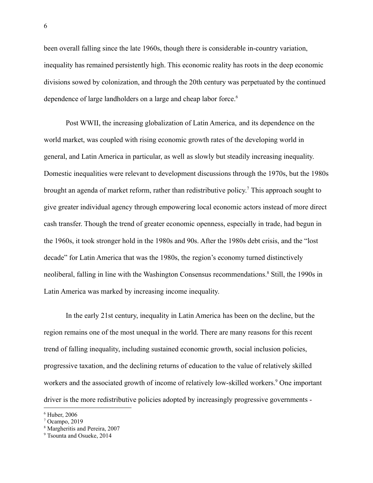been overall falling since the late 1960s, though there is considerable in-country variation, inequality has remained persistently high. This economic reality has roots in the deep economic divisions sowed by colonization, and through the 20th century was perpetuated by the continued dependence of large landholders on a large and cheap labor force.<sup>6</sup>

Post WWII, the increasing globalization of Latin America, and its dependence on the world market, was coupled with rising economic growth rates of the developing world in general, and Latin America in particular, as well as slowly but steadily increasing inequality. Domestic inequalities were relevant to development discussions through the 1970s, but the 1980s brought an agenda of market reform, rather than redistributive policy. <sup>7</sup> This approach sought to give greater individual agency through empowering local economic actors instead of more direct cash transfer. Though the trend of greater economic openness, especially in trade, had begun in the 1960s, it took stronger hold in the 1980s and 90s. After the 1980s debt crisis, and the "lost decade" for Latin America that was the 1980s, the region's economy turned distinctively neoliberal, falling in line with the Washington Consensus recommendations.<sup>8</sup> Still, the 1990s in Latin America was marked by increasing income inequality.

In the early 21st century, inequality in Latin America has been on the decline, but the region remains one of the most unequal in the world. There are many reasons for this recent trend of falling inequality, including sustained economic growth, social inclusion policies, progressive taxation, and the declining returns of education to the value of relatively skilled workers and the associated growth of income of relatively low-skilled workers.<sup>9</sup> One important driver is the more redistributive policies adopted by increasingly progressive governments -

<sup>6</sup> Huber, 2006

 $7$  Ocampo, 2019

<sup>8</sup> Margheritis and Pereira, 2007

<sup>&</sup>lt;sup>9</sup> Tsounta and Osueke, 2014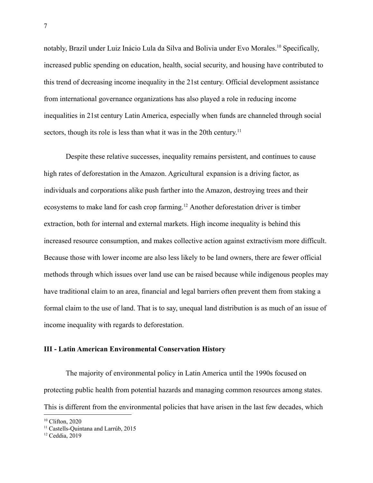notably, Brazil under Luiz Inácio Lula da Silva and Bolivia under Evo Morales.<sup>10</sup> Specifically, increased public spending on education, health, social security, and housing have contributed to this trend of decreasing income inequality in the 21st century. Official development assistance from international governance organizations has also played a role in reducing income inequalities in 21st century Latin America, especially when funds are channeled through social sectors, though its role is less than what it was in the 20th century.<sup>11</sup>

Despite these relative successes, inequality remains persistent, and continues to cause high rates of deforestation in the Amazon. Agricultural expansion is a driving factor, as individuals and corporations alike push farther into the Amazon, destroying trees and their ecosystems to make land for cash crop farming.<sup>12</sup> Another deforestation driver is timber extraction, both for internal and external markets. High income inequality is behind this increased resource consumption, and makes collective action against extractivism more difficult. Because those with lower income are also less likely to be land owners, there are fewer official methods through which issues over land use can be raised because while indigenous peoples may have traditional claim to an area, financial and legal barriers often prevent them from staking a formal claim to the use of land. That is to say, unequal land distribution is as much of an issue of income inequality with regards to deforestation.

# **III - Latin American Environmental Conservation History**

The majority of environmental policy in Latin America until the 1990s focused on protecting public health from potential hazards and managing common resources among states. This is different from the environmental policies that have arisen in the last few decades, which

<sup>&</sup>lt;sup>10</sup> Clifton, 2020

<sup>&</sup>lt;sup>11</sup> Castells-Quintana and Larrúb, 2015

<sup>&</sup>lt;sup>12</sup> Ceddia, 2019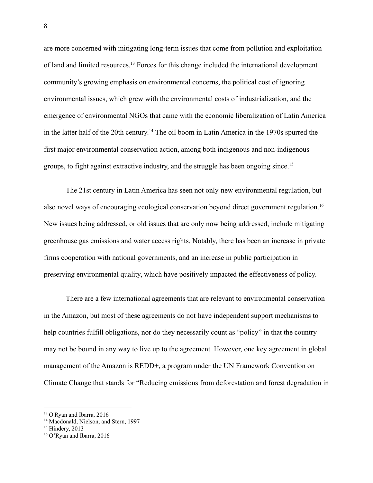are more concerned with mitigating long-term issues that come from pollution and exploitation of land and limited resources.<sup>13</sup> Forces for this change included the international development community's growing emphasis on environmental concerns, the political cost of ignoring environmental issues, which grew with the environmental costs of industrialization, and the emergence of environmental NGOs that came with the economic liberalization of Latin America in the latter half of the 20th century. <sup>14</sup> The oil boom in Latin America in the 1970s spurred the first major environmental conservation action, among both indigenous and non-indigenous groups, to fight against extractive industry, and the struggle has been ongoing since.<sup>15</sup>

The 21st century in Latin America has seen not only new environmental regulation, but also novel ways of encouraging ecological conservation beyond direct government regulation.<sup>16</sup> New issues being addressed, or old issues that are only now being addressed, include mitigating greenhouse gas emissions and water access rights. Notably, there has been an increase in private firms cooperation with national governments, and an increase in public participation in preserving environmental quality, which have positively impacted the effectiveness of policy.

There are a few international agreements that are relevant to environmental conservation in the Amazon, but most of these agreements do not have independent support mechanisms to help countries fulfill obligations, nor do they necessarily count as "policy" in that the country may not be bound in any way to live up to the agreement. However, one key agreement in global management of the Amazon is REDD+, a program under the UN Framework Convention on Climate Change that stands for "Reducing emissions from deforestation and forest degradation in

<sup>13</sup> O'Ryan and Ibarra, 2016

<sup>&</sup>lt;sup>14</sup> Macdonald, Nielson, and Stern, 1997

 $15$  Hindery, 2013

<sup>16</sup> O'Ryan and Ibarra, 2016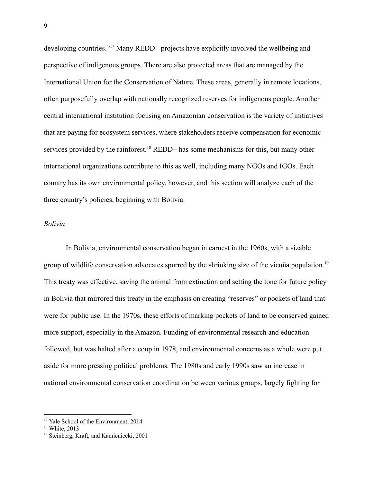developing countries."<sup>17</sup> Many REDD+ projects have explicitly involved the wellbeing and perspective of indigenous groups. There are also protected areas that are managed by the International Union for the Conservation of Nature. These areas, generally in remote locations, often purposefully overlap with nationally recognized reserves for indigenous people. Another central international institution focusing on Amazonian conservation is the variety of initiatives that are paying for ecosystem services, where stakeholders receive compensation for economic services provided by the rainforest.<sup>18</sup> REDD+ has some mechanisms for this, but many other international organizations contribute to this as well, including many NGOs and IGOs. Each country has its own environmental policy, however, and this section will analyze each of the three country's policies, beginning with Bolivia.

#### *Bolivia*

In Bolivia, environmental conservation began in earnest in the 1960s, with a sizable group of wildlife conservation advocates spurred by the shrinking size of the vicuña population.<sup>19</sup> This treaty was effective, saving the animal from extinction and setting the tone for future policy in Bolivia that mirrored this treaty in the emphasis on creating "reserves" or pockets of land that were for public use. In the 1970s, these efforts of marking pockets of land to be conserved gained more support, especially in the Amazon. Funding of environmental research and education followed, but was halted after a coup in 1978, and environmental concerns as a whole were put aside for more pressing political problems. The 1980s and early 1990s saw an increase in national environmental conservation coordination between various groups, largely fighting for

<sup>&</sup>lt;sup>17</sup> Yale School of the Environment, 2014

<sup>&</sup>lt;sup>18</sup> White, 2013

<sup>19</sup> Steinberg, Kraft, and Kamieniecki, 2001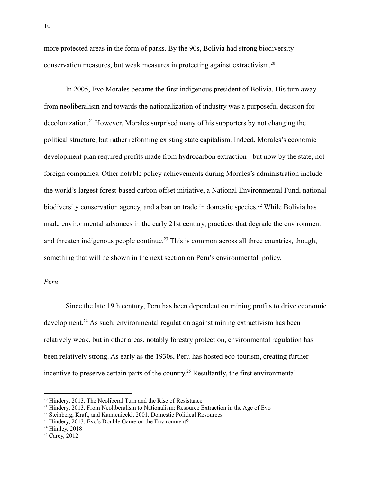more protected areas in the form of parks. By the 90s, Bolivia had strong biodiversity conservation measures, but weak measures in protecting against extractivism.<sup>20</sup>

In 2005, Evo Morales became the first indigenous president of Bolivia. His turn away from neoliberalism and towards the nationalization of industry was a purposeful decision for decolonization.<sup>21</sup> However, Morales surprised many of his supporters by not changing the political structure, but rather reforming existing state capitalism. Indeed, Morales's economic development plan required profits made from hydrocarbon extraction - but now by the state, not foreign companies. Other notable policy achievements during Morales's administration include the world's largest forest-based carbon offset initiative, a National Environmental Fund, national biodiversity conservation agency, and a ban on trade in domestic species.<sup>22</sup> While Bolivia has made environmental advances in the early 21st century, practices that degrade the environment and threaten indigenous people continue.<sup>23</sup> This is common across all three countries, though, something that will be shown in the next section on Peru's environmental policy.

*Peru*

Since the late 19th century, Peru has been dependent on mining profits to drive economic development.<sup>24</sup> As such, environmental regulation against mining extractivism has been relatively weak, but in other areas, notably forestry protection, environmental regulation has been relatively strong. As early as the 1930s, Peru has hosted eco-tourism, creating further incentive to preserve certain parts of the country. <sup>25</sup> Resultantly, the first environmental

<sup>&</sup>lt;sup>20</sup> Hindery, 2013. The Neoliberal Turn and the Rise of Resistance

<sup>&</sup>lt;sup>21</sup> Hindery, 2013. From Neoliberalism to Nationalism: Resource Extraction in the Age of Evo

<sup>22</sup> Steinberg, Kraft, and Kamieniecki, 2001. Domestic Political Resources

<sup>&</sup>lt;sup>23</sup> Hindery, 2013. Evo's Double Game on the Environment?

 $24$  Himley, 2018

 $25$  Carey, 2012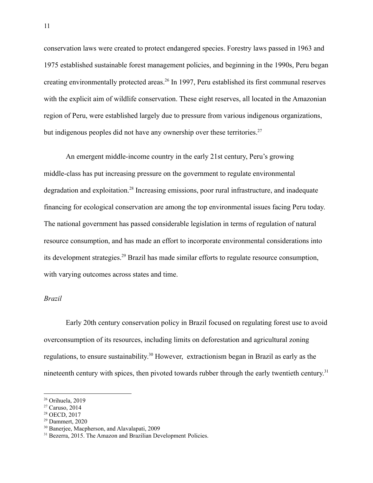conservation laws were created to protect endangered species. Forestry laws passed in 1963 and 1975 established sustainable forest management policies, and beginning in the 1990s, Peru began creating environmentally protected areas.<sup>26</sup> In 1997, Peru established its first communal reserves with the explicit aim of wildlife conservation. These eight reserves, all located in the Amazonian region of Peru, were established largely due to pressure from various indigenous organizations, but indigenous peoples did not have any ownership over these territories.<sup>27</sup>

An emergent middle-income country in the early 21st century, Peru's growing middle-class has put increasing pressure on the government to regulate environmental degradation and exploitation.<sup>28</sup> Increasing emissions, poor rural infrastructure, and inadequate financing for ecological conservation are among the top environmental issues facing Peru today. The national government has passed considerable legislation in terms of regulation of natural resource consumption, and has made an effort to incorporate environmental considerations into its development strategies.<sup>29</sup> Brazil has made similar efforts to regulate resource consumption, with varying outcomes across states and time.

## *Brazil*

Early 20th century conservation policy in Brazil focused on regulating forest use to avoid overconsumption of its resources, including limits on deforestation and agricultural zoning regulations, to ensure sustainability.<sup>30</sup> However, extractionism began in Brazil as early as the nineteenth century with spices, then pivoted towards rubber through the early twentieth century.<sup>31</sup>

<sup>26</sup> Orihuela, 2019

 $27$  Caruso, 2014

<sup>28</sup> OECD, 2017

<sup>29</sup> Dammert, 2020

<sup>30</sup> Banerjee, Macpherson, and Alavalapati, 2009

<sup>&</sup>lt;sup>31</sup> Bezerra, 2015. The Amazon and Brazilian Development Policies.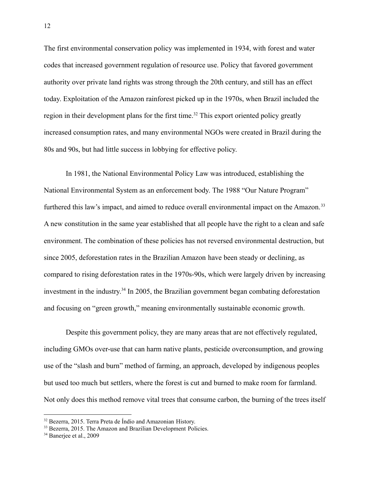The first environmental conservation policy was implemented in 1934, with forest and water codes that increased government regulation of resource use. Policy that favored government authority over private land rights was strong through the 20th century, and still has an effect today. Exploitation of the Amazon rainforest picked up in the 1970s, when Brazil included the region in their development plans for the first time.<sup>32</sup> This export oriented policy greatly increased consumption rates, and many environmental NGOs were created in Brazil during the 80s and 90s, but had little success in lobbying for effective policy.

In 1981, the National Environmental Policy Law was introduced, establishing the National Environmental System as an enforcement body. The 1988 "Our Nature Program" furthered this law's impact, and aimed to reduce overall environmental impact on the Amazon.<sup>33</sup> A new constitution in the same year established that all people have the right to a clean and safe environment. The combination of these policies has not reversed environmental destruction, but since 2005, deforestation rates in the Brazilian Amazon have been steady or declining, as compared to rising deforestation rates in the 1970s-90s, which were largely driven by increasing investment in the industry. 34 In 2005, the Brazilian government began combating deforestation and focusing on "green growth," meaning environmentally sustainable economic growth.

Despite this government policy, they are many areas that are not effectively regulated, including GMOs over-use that can harm native plants, pesticide overconsumption, and growing use of the "slash and burn" method of farming, an approach, developed by indigenous peoples but used too much but settlers, where the forest is cut and burned to make room for farmland. Not only does this method remove vital trees that consume carbon, the burning of the trees itself

<sup>&</sup>lt;sup>32</sup> Bezerra, 2015. Terra Preta de Índio and Amazonian History.

<sup>&</sup>lt;sup>33</sup> Bezerra, 2015. The Amazon and Brazilian Development Policies.

<sup>&</sup>lt;sup>34</sup> Banerjee et al., 2009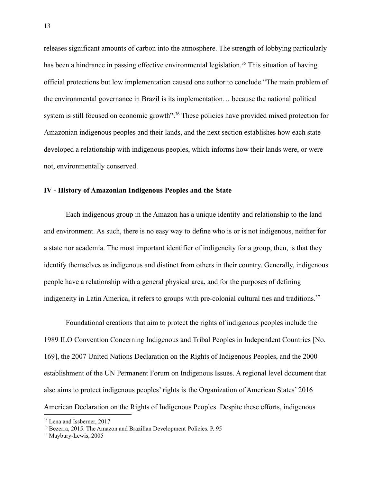releases significant amounts of carbon into the atmosphere. The strength of lobbying particularly has been a hindrance in passing effective environmental legislation.<sup>35</sup> This situation of having official protections but low implementation caused one author to conclude "The main problem of the environmental governance in Brazil is its implementation… because the national political system is still focused on economic growth".<sup>36</sup> These policies have provided mixed protection for Amazonian indigenous peoples and their lands, and the next section establishes how each state developed a relationship with indigenous peoples, which informs how their lands were, or were not, environmentally conserved.

### **IV - History of Amazonian Indigenous Peoples and the State**

Each indigenous group in the Amazon has a unique identity and relationship to the land and environment. As such, there is no easy way to define who is or is not indigenous, neither for a state nor academia. The most important identifier of indigeneity for a group, then, is that they identify themselves as indigenous and distinct from others in their country. Generally, indigenous people have a relationship with a general physical area, and for the purposes of defining indigeneity in Latin America, it refers to groups with pre-colonial cultural ties and traditions.<sup>37</sup>

Foundational creations that aim to protect the rights of indigenous peoples include the 1989 ILO Convention Concerning Indigenous and Tribal Peoples in Independent Countries [No. 169], the 2007 United Nations Declaration on the Rights of Indigenous Peoples, and the 2000 establishment of the UN Permanent Forum on Indigenous Issues. A regional level document that also aims to protect indigenous peoples' rights is the Organization of American States' 2016 American Declaration on the Rights of Indigenous Peoples. Despite these efforts, indigenous

<sup>&</sup>lt;sup>35</sup> Lena and Issberner, 2017

<sup>36</sup> Bezerra, 2015. The Amazon and Brazilian Development Policies. P. 95

<sup>37</sup> Maybury-Lewis, 2005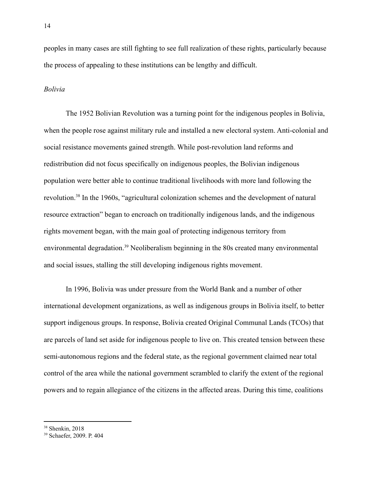peoples in many cases are still fighting to see full realization of these rights, particularly because the process of appealing to these institutions can be lengthy and difficult.

#### *Bolivia*

The 1952 Bolivian Revolution was a turning point for the indigenous peoples in Bolivia, when the people rose against military rule and installed a new electoral system. Anti-colonial and social resistance movements gained strength. While post-revolution land reforms and redistribution did not focus specifically on indigenous peoples, the Bolivian indigenous population were better able to continue traditional livelihoods with more land following the revolution.<sup>38</sup> In the 1960s, "agricultural colonization schemes and the development of natural resource extraction" began to encroach on traditionally indigenous lands, and the indigenous rights movement began, with the main goal of protecting indigenous territory from environmental degradation.<sup>39</sup> Neoliberalism beginning in the 80s created many environmental and social issues, stalling the still developing indigenous rights movement.

In 1996, Bolivia was under pressure from the World Bank and a number of other international development organizations, as well as indigenous groups in Bolivia itself, to better support indigenous groups. In response, Bolivia created Original Communal Lands (TCOs) that are parcels of land set aside for indigenous people to live on. This created tension between these semi-autonomous regions and the federal state, as the regional government claimed near total control of the area while the national government scrambled to clarify the extent of the regional powers and to regain allegiance of the citizens in the affected areas. During this time, coalitions

<sup>38</sup> Shenkin, 2018

<sup>39</sup> Schaefer, 2009. P. 404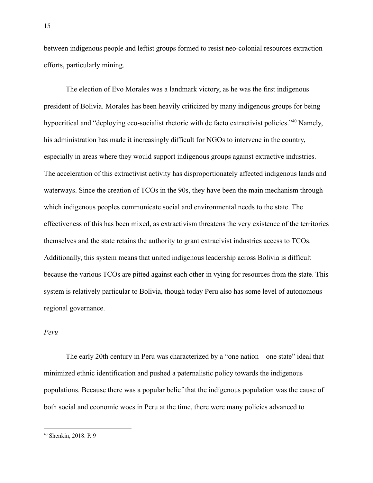between indigenous people and leftist groups formed to resist neo-colonial resources extraction efforts, particularly mining.

The election of Evo Morales was a landmark victory, as he was the first indigenous president of Bolivia. Morales has been heavily criticized by many indigenous groups for being hypocritical and "deploying eco-socialist rhetoric with de facto extractivist policies."<sup>40</sup> Namely, his administration has made it increasingly difficult for NGOs to intervene in the country, especially in areas where they would support indigenous groups against extractive industries. The acceleration of this extractivist activity has disproportionately affected indigenous lands and waterways. Since the creation of TCOs in the 90s, they have been the main mechanism through which indigenous peoples communicate social and environmental needs to the state. The effectiveness of this has been mixed, as extractivism threatens the very existence of the territories themselves and the state retains the authority to grant extracivist industries access to TCOs. Additionally, this system means that united indigenous leadership across Bolivia is difficult because the various TCOs are pitted against each other in vying for resources from the state. This system is relatively particular to Bolivia, though today Peru also has some level of autonomous regional governance.

# *Peru*

The early 20th century in Peru was characterized by a "one nation – one state" ideal that minimized ethnic identification and pushed a paternalistic policy towards the indigenous populations. Because there was a popular belief that the indigenous population was the cause of both social and economic woes in Peru at the time, there were many policies advanced to

<sup>15</sup>

<sup>40</sup> Shenkin, 2018. P. 9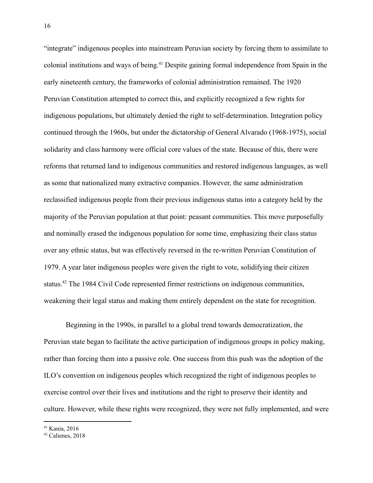"integrate" indigenous peoples into mainstream Peruvian society by forcing them to assimilate to colonial institutions and ways of being.<sup>41</sup> Despite gaining formal independence from Spain in the early nineteenth century, the frameworks of colonial administration remained. The 1920 Peruvian Constitution attempted to correct this, and explicitly recognized a few rights for indigenous populations, but ultimately denied the right to self-determination. Integration policy continued through the 1960s, but under the dictatorship of General Alvarado (1968-1975), social solidarity and class harmony were official core values of the state. Because of this, there were reforms that returned land to indigenous communities and restored indigenous languages, as well as some that nationalized many extractive companies. However, the same administration reclassified indigenous people from their previous indigenous status into a category held by the majority of the Peruvian population at that point: peasant communities. This move purposefully and nominally erased the indigenous population for some time, emphasizing their class status over any ethnic status, but was effectively reversed in the re-written Peruvian Constitution of 1979. A year later indigenous peoples were given the right to vote, solidifying their citizen status.<sup>42</sup> The 1984 Civil Code represented firmer restrictions on indigenous communities, weakening their legal status and making them entirely dependent on the state for recognition.

Beginning in the 1990s, in parallel to a global trend towards democratization, the Peruvian state began to facilitate the active participation of indigenous groups in policy making, rather than forcing them into a passive role. One success from this push was the adoption of the ILO's convention on indigenous peoples which recognized the right of indigenous peoples to exercise control over their lives and institutions and the right to preserve their identity and culture. However, while these rights were recognized, they were not fully implemented, and were

<sup>41</sup> Kania, 2016

<sup>42</sup> Calienes, 2018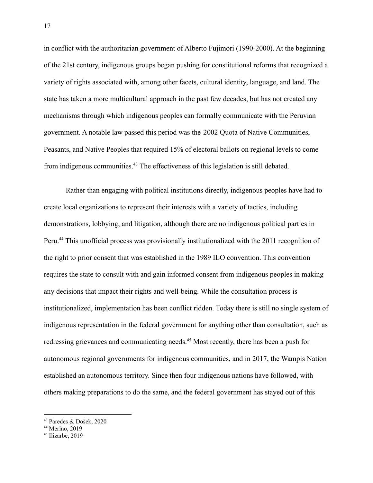in conflict with the authoritarian government of Alberto Fujimori (1990-2000). At the beginning of the 21st century, indigenous groups began pushing for constitutional reforms that recognized a variety of rights associated with, among other facets, cultural identity, language, and land. The state has taken a more multicultural approach in the past few decades, but has not created any mechanisms through which indigenous peoples can formally communicate with the Peruvian government. A notable law passed this period was the 2002 Quota of Native Communities, Peasants, and Native Peoples that required 15% of electoral ballots on regional levels to come from indigenous communities.<sup>43</sup> The effectiveness of this legislation is still debated.

Rather than engaging with political institutions directly, indigenous peoples have had to create local organizations to represent their interests with a variety of tactics, including demonstrations, lobbying, and litigation, although there are no indigenous political parties in Peru.<sup>44</sup> This unofficial process was provisionally institutionalized with the 2011 recognition of the right to prior consent that was established in the 1989 ILO convention. This convention requires the state to consult with and gain informed consent from indigenous peoples in making any decisions that impact their rights and well-being. While the consultation process is institutionalized, implementation has been conflict ridden. Today there is still no single system of indigenous representation in the federal government for anything other than consultation, such as redressing grievances and communicating needs.<sup>45</sup> Most recently, there has been a push for autonomous regional governments for indigenous communities, and in 2017, the Wampis Nation established an autonomous territory. Since then four indigenous nations have followed, with others making preparations to do the same, and the federal government has stayed out of this

<sup>43</sup> Paredes & Došek, 2020

<sup>44</sup> Merino, 2019

 $45$  Ilizarbe, 2019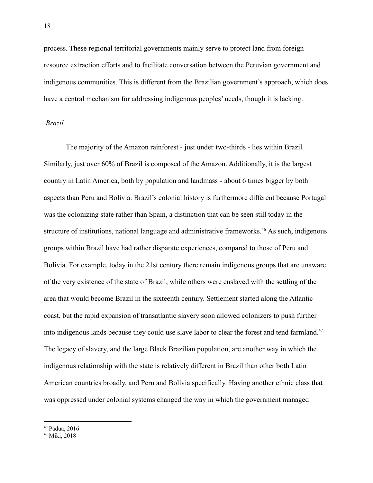process. These regional territorial governments mainly serve to protect land from foreign resource extraction efforts and to facilitate conversation between the Peruvian government and indigenous communities. This is different from the Brazilian government's approach, which does have a central mechanism for addressing indigenous peoples' needs, though it is lacking.

#### *Brazil*

The majority of the Amazon rainforest - just under two-thirds - lies within Brazil. Similarly, just over 60% of Brazil is composed of the Amazon. Additionally, it is the largest country in Latin America, both by population and landmass - about 6 times bigger by both aspects than Peru and Bolivia. Brazil's colonial history is furthermore different because Portugal was the colonizing state rather than Spain, a distinction that can be seen still today in the structure of institutions, national language and administrative frameworks.<sup>46</sup> As such, indigenous groups within Brazil have had rather disparate experiences, compared to those of Peru and Bolivia. For example, today in the 21st century there remain indigenous groups that are unaware of the very existence of the state of Brazil, while others were enslaved with the settling of the area that would become Brazil in the sixteenth century. Settlement started along the Atlantic coast, but the rapid expansion of transatlantic slavery soon allowed colonizers to push further into indigenous lands because they could use slave labor to clear the forest and tend farmland.<sup>47</sup> The legacy of slavery, and the large Black Brazilian population, are another way in which the indigenous relationship with the state is relatively different in Brazil than other both Latin American countries broadly, and Peru and Bolivia specifically. Having another ethnic class that was oppressed under colonial systems changed the way in which the government managed

<sup>46</sup> Pádua, 2016

<sup>47</sup> Miki, 2018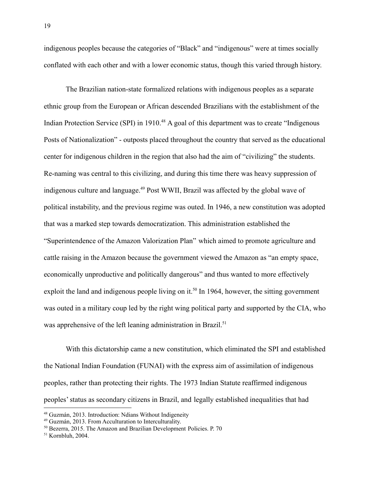indigenous peoples because the categories of "Black" and "indigenous" were at times socially conflated with each other and with a lower economic status, though this varied through history.

The Brazilian nation-state formalized relations with indigenous peoples as a separate ethnic group from the European or African descended Brazilians with the establishment of the Indian Protection Service (SPI) in 1910.<sup>48</sup> A goal of this department was to create "Indigenous" Posts of Nationalization" - outposts placed throughout the country that served as the educational center for indigenous children in the region that also had the aim of "civilizing" the students. Re-naming was central to this civilizing, and during this time there was heavy suppression of indigenous culture and language.<sup>49</sup> Post WWII, Brazil was affected by the global wave of political instability, and the previous regime was outed. In 1946, a new constitution was adopted that was a marked step towards democratization. This administration established the "Superintendence of the Amazon Valorization Plan" which aimed to promote agriculture and cattle raising in the Amazon because the government viewed the Amazon as "an empty space, economically unproductive and politically dangerous" and thus wanted to more effectively exploit the land and indigenous people living on it.<sup>50</sup> In 1964, however, the sitting government was outed in a military coup led by the right wing political party and supported by the CIA, who was apprehensive of the left leaning administration in Brazil.<sup>51</sup>

With this dictatorship came a new constitution, which eliminated the SPI and established the National Indian Foundation (FUNAI) with the express aim of assimilation of indigenous peoples, rather than protecting their rights. The 1973 Indian Statute reaffirmed indigenous peoples' status as secondary citizens in Brazil, and legally established inequalities that had

<sup>48</sup> Guzmán, 2013. Introduction: Ndians Without Indigeneity

<sup>49</sup> Guzmán, 2013. From Acculturation to Interculturality.

<sup>50</sup> Bezerra, 2015. The Amazon and Brazilian Development Policies. P. 70

<sup>51</sup> Kornbluh, 2004.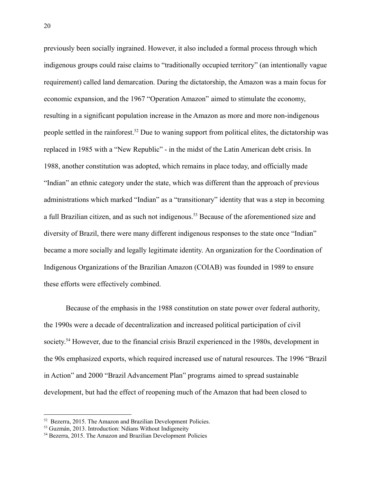previously been socially ingrained. However, it also included a formal process through which indigenous groups could raise claims to "traditionally occupied territory" (an intentionally vague requirement) called land demarcation. During the dictatorship, the Amazon was a main focus for economic expansion, and the 1967 "Operation Amazon" aimed to stimulate the economy, resulting in a significant population increase in the Amazon as more and more non-indigenous people settled in the rainforest.<sup>52</sup> Due to waning support from political elites, the dictatorship was replaced in 1985 with a "New Republic" - in the midst of the Latin American debt crisis. In 1988, another constitution was adopted, which remains in place today, and officially made "Indian" an ethnic category under the state, which was different than the approach of previous administrations which marked "Indian" as a "transitionary" identity that was a step in becoming a full Brazilian citizen, and as such not indigenous.<sup>53</sup> Because of the aforementioned size and diversity of Brazil, there were many different indigenous responses to the state once "Indian" became a more socially and legally legitimate identity. An organization for the Coordination of Indigenous Organizations of the Brazilian Amazon (COIAB) was founded in 1989 to ensure these efforts were effectively combined.

Because of the emphasis in the 1988 constitution on state power over federal authority, the 1990s were a decade of decentralization and increased political participation of civil society.<sup>54</sup> However, due to the financial crisis Brazil experienced in the 1980s, development in the 90s emphasized exports, which required increased use of natural resources. The 1996 "Brazil in Action" and 2000 "Brazil Advancement Plan" programs aimed to spread sustainable development, but had the effect of reopening much of the Amazon that had been closed to

<sup>52</sup> Bezerra, 2015. The Amazon and Brazilian Development Policies.

<sup>53</sup> Guzmán, 2013. Introduction: Ndians Without Indigeneity

<sup>54</sup> Bezerra, 2015. The Amazon and Brazilian Development Policies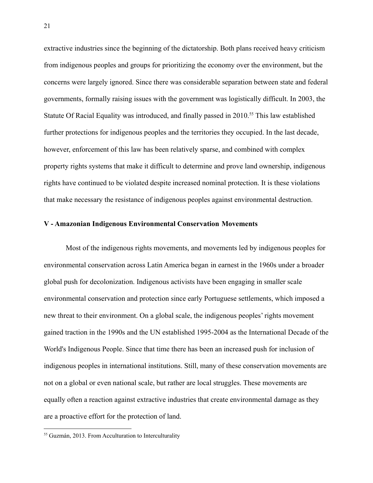extractive industries since the beginning of the dictatorship. Both plans received heavy criticism from indigenous peoples and groups for prioritizing the economy over the environment, but the concerns were largely ignored. Since there was considerable separation between state and federal governments, formally raising issues with the government was logistically difficult. In 2003, the Statute Of Racial Equality was introduced, and finally passed in 2010.<sup>55</sup> This law established further protections for indigenous peoples and the territories they occupied. In the last decade, however, enforcement of this law has been relatively sparse, and combined with complex property rights systems that make it difficult to determine and prove land ownership, indigenous rights have continued to be violated despite increased nominal protection. It is these violations that make necessary the resistance of indigenous peoples against environmental destruction.

### **V - Amazonian Indigenous Environmental Conservation Movements**

Most of the indigenous rights movements, and movements led by indigenous peoples for environmental conservation across Latin America began in earnest in the 1960s under a broader global push for decolonization. Indigenous activists have been engaging in smaller scale environmental conservation and protection since early Portuguese settlements, which imposed a new threat to their environment. On a global scale, the indigenous peoples' rights movement gained traction in the 1990s and the UN established 1995-2004 as the International Decade of the World's Indigenous People. Since that time there has been an increased push for inclusion of indigenous peoples in international institutions. Still, many of these conservation movements are not on a global or even national scale, but rather are local struggles. These movements are equally often a reaction against extractive industries that create environmental damage as they are a proactive effort for the protection of land.

<sup>55</sup> Guzmán, 2013. From Acculturation to Interculturality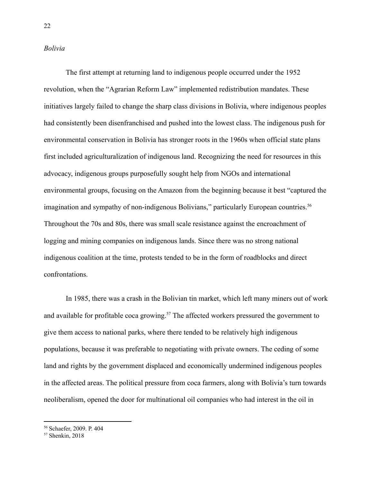#### *Bolivia*

The first attempt at returning land to indigenous people occurred under the 1952 revolution, when the "Agrarian Reform Law" implemented redistribution mandates. These initiatives largely failed to change the sharp class divisions in Bolivia, where indigenous peoples had consistently been disenfranchised and pushed into the lowest class. The indigenous push for environmental conservation in Bolivia has stronger roots in the 1960s when official state plans first included agriculturalization of indigenous land. Recognizing the need for resources in this advocacy, indigenous groups purposefully sought help from NGOs and international environmental groups, focusing on the Amazon from the beginning because it best "captured the imagination and sympathy of non-indigenous Bolivians," particularly European countries.<sup>56</sup> Throughout the 70s and 80s, there was small scale resistance against the encroachment of logging and mining companies on indigenous lands. Since there was no strong national indigenous coalition at the time, protests tended to be in the form of roadblocks and direct confrontations.

In 1985, there was a crash in the Bolivian tin market, which left many miners out of work and available for profitable coca growing.<sup>57</sup> The affected workers pressured the government to give them access to national parks, where there tended to be relatively high indigenous populations, because it was preferable to negotiating with private owners. The ceding of some land and rights by the government displaced and economically undermined indigenous peoples in the affected areas. The political pressure from coca farmers, along with Bolivia's turn towards neoliberalism, opened the door for multinational oil companies who had interest in the oil in

<sup>56</sup> Schaefer, 2009. P. 404

<sup>57</sup> Shenkin, 2018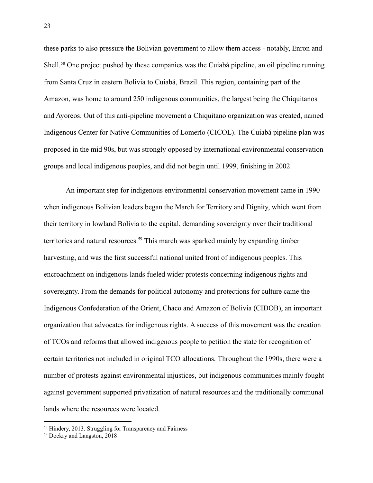these parks to also pressure the Bolivian government to allow them access - notably, Enron and Shell.<sup>58</sup> One project pushed by these companies was the Cuiabá pipeline, an oil pipeline running from Santa Cruz in eastern Bolivia to Cuiabá, Brazil. This region, containing part of the Amazon, was home to around 250 indigenous communities, the largest being the Chiquitanos and Ayoreos. Out of this anti-pipeline movement a Chiquitano organization was created, named Indigenous Center for Native Communities of Lomerío (CICOL). The Cuiabá pipeline plan was proposed in the mid 90s, but was strongly opposed by international environmental conservation groups and local indigenous peoples, and did not begin until 1999, finishing in 2002.

An important step for indigenous environmental conservation movement came in 1990 when indigenous Bolivian leaders began the March for Territory and Dignity, which went from their territory in lowland Bolivia to the capital, demanding sovereignty over their traditional territories and natural resources.<sup>59</sup> This march was sparked mainly by expanding timber harvesting, and was the first successful national united front of indigenous peoples. This encroachment on indigenous lands fueled wider protests concerning indigenous rights and sovereignty. From the demands for political autonomy and protections for culture came the Indigenous Confederation of the Orient, Chaco and Amazon of Bolivia (CIDOB), an important organization that advocates for indigenous rights. A success of this movement was the creation of TCOs and reforms that allowed indigenous people to petition the state for recognition of certain territories not included in original TCO allocations. Throughout the 1990s, there were a number of protests against environmental injustices, but indigenous communities mainly fought against government supported privatization of natural resources and the traditionally communal lands where the resources were located.

<sup>&</sup>lt;sup>58</sup> Hindery, 2013. Struggling for Transparency and Fairness

<sup>59</sup> Dockry and Langston, 2018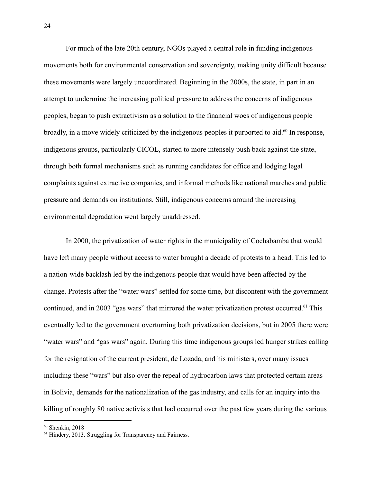For much of the late 20th century, NGOs played a central role in funding indigenous movements both for environmental conservation and sovereignty, making unity difficult because these movements were largely uncoordinated. Beginning in the 2000s, the state, in part in an attempt to undermine the increasing political pressure to address the concerns of indigenous peoples, began to push extractivism as a solution to the financial woes of indigenous people broadly, in a move widely criticized by the indigenous peoples it purported to aid.<sup>60</sup> In response, indigenous groups, particularly CICOL, started to more intensely push back against the state, through both formal mechanisms such as running candidates for office and lodging legal complaints against extractive companies, and informal methods like national marches and public pressure and demands on institutions. Still, indigenous concerns around the increasing environmental degradation went largely unaddressed.

In 2000, the privatization of water rights in the municipality of Cochabamba that would have left many people without access to water brought a decade of protests to a head. This led to a nation-wide backlash led by the indigenous people that would have been affected by the change. Protests after the "water wars" settled for some time, but discontent with the government continued, and in 2003 "gas wars" that mirrored the water privatization protest occurred.<sup>61</sup> This eventually led to the government overturning both privatization decisions, but in 2005 there were "water wars" and "gas wars" again. During this time indigenous groups led hunger strikes calling for the resignation of the current president, de Lozada, and his ministers, over many issues including these "wars" but also over the repeal of hydrocarbon laws that protected certain areas in Bolivia, demands for the nationalization of the gas industry, and calls for an inquiry into the killing of roughly 80 native activists that had occurred over the past few years during the various

 $60$  Shenkin, 2018

<sup>&</sup>lt;sup>61</sup> Hindery, 2013. Struggling for Transparency and Fairness.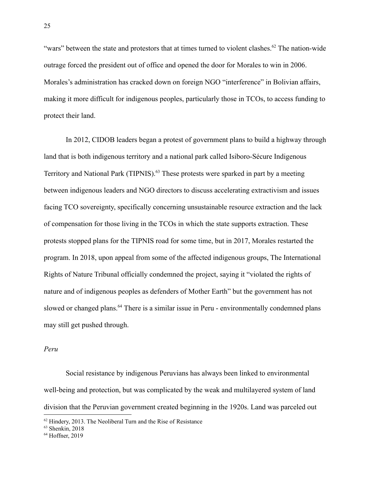"wars" between the state and protestors that at times turned to violent clashes.<sup>62</sup> The nation-wide outrage forced the president out of office and opened the door for Morales to win in 2006. Morales's administration has cracked down on foreign NGO "interference" in Bolivian affairs, making it more difficult for indigenous peoples, particularly those in TCOs, to access funding to protect their land.

In 2012, CIDOB leaders began a protest of government plans to build a highway through land that is both indigenous territory and a national park called Isiboro-Sécure Indigenous Territory and National Park (TIPNIS).<sup>63</sup> These protests were sparked in part by a meeting between indigenous leaders and NGO directors to discuss accelerating extractivism and issues facing TCO sovereignty, specifically concerning unsustainable resource extraction and the lack of compensation for those living in the TCOs in which the state supports extraction. These protests stopped plans for the TIPNIS road for some time, but in 2017, Morales restarted the program. In 2018, upon appeal from some of the affected indigenous groups, The International Rights of Nature Tribunal officially condemned the project, saying it "violated the rights of nature and of indigenous peoples as defenders of Mother Earth" but the government has not slowed or changed plans.<sup>64</sup> There is a similar issue in Peru - environmentally condemned plans may still get pushed through.

### *Peru*

Social resistance by indigenous Peruvians has always been linked to environmental well-being and protection, but was complicated by the weak and multilayered system of land division that the Peruvian government created beginning in the 1920s. Land was parceled out

 $62$  Hindery, 2013. The Neoliberal Turn and the Rise of Resistance

 $63$  Shenkin, 2018

<sup>&</sup>lt;sup>64</sup> Hoffner, 2019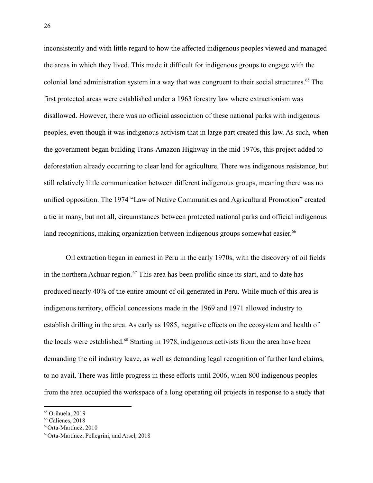inconsistently and with little regard to how the affected indigenous peoples viewed and managed the areas in which they lived. This made it difficult for indigenous groups to engage with the colonial land administration system in a way that was congruent to their social structures.<sup>65</sup> The first protected areas were established under a 1963 forestry law where extractionism was disallowed. However, there was no official association of these national parks with indigenous peoples, even though it was indigenous activism that in large part created this law. As such, when the government began building Trans-Amazon Highway in the mid 1970s, this project added to deforestation already occurring to clear land for agriculture. There was indigenous resistance, but still relatively little communication between different indigenous groups, meaning there was no unified opposition. The 1974 "Law of Native Communities and Agricultural Promotion" created a tie in many, but not all, circumstances between protected national parks and official indigenous land recognitions, making organization between indigenous groups somewhat easier.<sup>66</sup>

Oil extraction began in earnest in Peru in the early 1970s, with the discovery of oil fields in the northern Achuar region.<sup>67</sup> This area has been prolific since its start, and to date has produced nearly 40% of the entire amount of oil generated in Peru. While much of this area is indigenous territory, official concessions made in the 1969 and 1971 allowed industry to establish drilling in the area. As early as 1985, negative effects on the ecosystem and health of the locals were established.<sup>68</sup> Starting in 1978, indigenous activists from the area have been demanding the oil industry leave, as well as demanding legal recognition of further land claims, to no avail. There was little progress in these efforts until 2006, when 800 indigenous peoples from the area occupied the workspace of a long operating oil projects in response to a study that

<sup>&</sup>lt;sup>65</sup> Orihuela, 2019

<sup>66</sup> Calienes, 2018

<sup>67</sup>Orta-Martínez, 2010

<sup>68</sup>Orta-Martínez, Pellegrini, and Arsel, 2018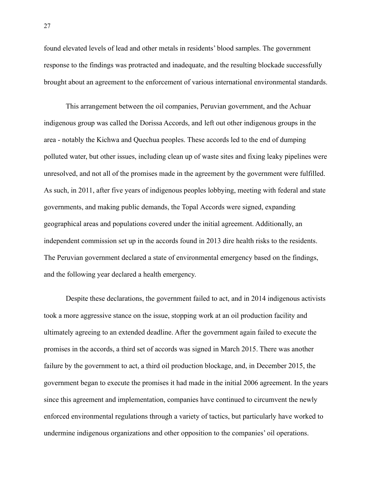found elevated levels of lead and other metals in residents' blood samples. The government response to the findings was protracted and inadequate, and the resulting blockade successfully brought about an agreement to the enforcement of various international environmental standards.

This arrangement between the oil companies, Peruvian government, and the Achuar indigenous group was called the Dorissa Accords, and left out other indigenous groups in the area - notably the Kichwa and Quechua peoples. These accords led to the end of dumping polluted water, but other issues, including clean up of waste sites and fixing leaky pipelines were unresolved, and not all of the promises made in the agreement by the government were fulfilled. As such, in 2011, after five years of indigenous peoples lobbying, meeting with federal and state governments, and making public demands, the Topal Accords were signed, expanding geographical areas and populations covered under the initial agreement. Additionally, an independent commission set up in the accords found in 2013 dire health risks to the residents. The Peruvian government declared a state of environmental emergency based on the findings, and the following year declared a health emergency.

Despite these declarations, the government failed to act, and in 2014 indigenous activists took a more aggressive stance on the issue, stopping work at an oil production facility and ultimately agreeing to an extended deadline. After the government again failed to execute the promises in the accords, a third set of accords was signed in March 2015. There was another failure by the government to act, a third oil production blockage, and, in December 2015, the government began to execute the promises it had made in the initial 2006 agreement. In the years since this agreement and implementation, companies have continued to circumvent the newly enforced environmental regulations through a variety of tactics, but particularly have worked to undermine indigenous organizations and other opposition to the companies' oil operations.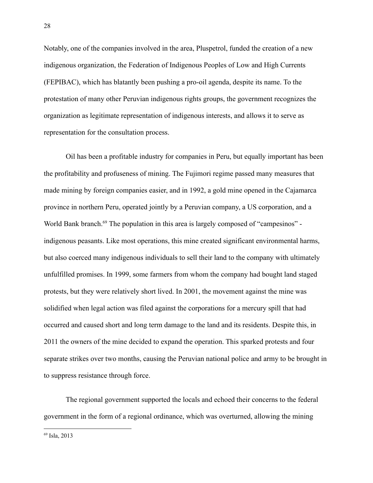Notably, one of the companies involved in the area, Pluspetrol, funded the creation of a new indigenous organization, the Federation of Indigenous Peoples of Low and High Currents (FEPIBAC), which has blatantly been pushing a pro-oil agenda, despite its name. To the protestation of many other Peruvian indigenous rights groups, the government recognizes the organization as legitimate representation of indigenous interests, and allows it to serve as representation for the consultation process.

Oil has been a profitable industry for companies in Peru, but equally important has been the profitability and profuseness of mining. The Fujimori regime passed many measures that made mining by foreign companies easier, and in 1992, a gold mine opened in the Cajamarca province in northern Peru, operated jointly by a Peruvian company, a US corporation, and a World Bank branch.<sup>69</sup> The population in this area is largely composed of "campesinos" indigenous peasants. Like most operations, this mine created significant environmental harms, but also coerced many indigenous individuals to sell their land to the company with ultimately unfulfilled promises. In 1999, some farmers from whom the company had bought land staged protests, but they were relatively short lived. In 2001, the movement against the mine was solidified when legal action was filed against the corporations for a mercury spill that had occurred and caused short and long term damage to the land and its residents. Despite this, in 2011 the owners of the mine decided to expand the operation. This sparked protests and four separate strikes over two months, causing the Peruvian national police and army to be brought in to suppress resistance through force.

The regional government supported the locals and echoed their concerns to the federal government in the form of a regional ordinance, which was overturned, allowing the mining

<sup>69</sup> Isla, 2013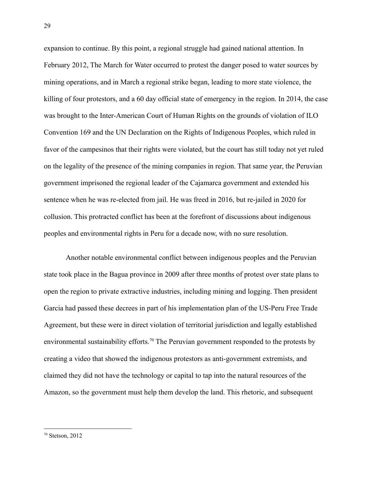expansion to continue. By this point, a regional struggle had gained national attention. In February 2012, The March for Water occurred to protest the danger posed to water sources by mining operations, and in March a regional strike began, leading to more state violence, the killing of four protestors, and a 60 day official state of emergency in the region. In 2014, the case was brought to the Inter-American Court of Human Rights on the grounds of violation of ILO Convention 169 and the UN Declaration on the Rights of Indigenous Peoples, which ruled in favor of the campesinos that their rights were violated, but the court has still today not yet ruled on the legality of the presence of the mining companies in region. That same year, the Peruvian government imprisoned the regional leader of the Cajamarca government and extended his sentence when he was re-elected from jail. He was freed in 2016, but re-jailed in 2020 for collusion. This protracted conflict has been at the forefront of discussions about indigenous peoples and environmental rights in Peru for a decade now, with no sure resolution.

Another notable environmental conflict between indigenous peoples and the Peruvian state took place in the Bagua province in 2009 after three months of protest over state plans to open the region to private extractive industries, including mining and logging. Then president Garcia had passed these decrees in part of his implementation plan of the US-Peru Free Trade Agreement, but these were in direct violation of territorial jurisdiction and legally established environmental sustainability efforts.<sup>70</sup> The Peruvian government responded to the protests by creating a video that showed the indigenous protestors as anti-government extremists, and claimed they did not have the technology or capital to tap into the natural resources of the Amazon, so the government must help them develop the land. This rhetoric, and subsequent

<sup>70</sup> Stetson, 2012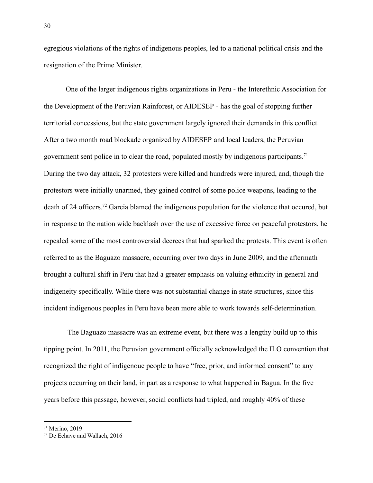egregious violations of the rights of indigenous peoples, led to a national political crisis and the resignation of the Prime Minister.

One of the larger indigenous rights organizations in Peru - the Interethnic Association for the Development of the Peruvian Rainforest, or AIDESEP - has the goal of stopping further territorial concessions, but the state government largely ignored their demands in this conflict. After a two month road blockade organized by AIDESEP and local leaders, the Peruvian government sent police in to clear the road, populated mostly by indigenous participants.<sup>71</sup> During the two day attack, 32 protesters were killed and hundreds were injured, and, though the protestors were initially unarmed, they gained control of some police weapons, leading to the death of 24 officers.<sup>72</sup> Garcia blamed the indigenous population for the violence that occured, but in response to the nation wide backlash over the use of excessive force on peaceful protestors, he repealed some of the most controversial decrees that had sparked the protests. This event is often referred to as the Baguazo massacre, occurring over two days in June 2009, and the aftermath brought a cultural shift in Peru that had a greater emphasis on valuing ethnicity in general and indigeneity specifically. While there was not substantial change in state structures, since this incident indigenous peoples in Peru have been more able to work towards self-determination.

The Baguazo massacre was an extreme event, but there was a lengthy build up to this tipping point. In 2011, the Peruvian government officially acknowledged the ILO convention that recognized the right of indigenoue people to have "free, prior, and informed consent" to any projects occurring on their land, in part as a response to what happened in Bagua. In the five years before this passage, however, social conflicts had tripled, and roughly 40% of these

 $71$  Merino, 2019

<sup>72</sup> De Echave and Wallach, 2016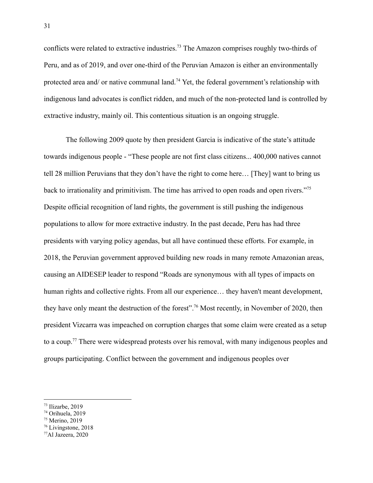conflicts were related to extractive industries.<sup>73</sup> The Amazon comprises roughly two-thirds of Peru, and as of 2019, and over one-third of the Peruvian Amazon is either an environmentally protected area and/ or native communal land.<sup>74</sup> Yet, the federal government's relationship with indigenous land advocates is conflict ridden, and much of the non-protected land is controlled by extractive industry, mainly oil. This contentious situation is an ongoing struggle.

The following 2009 quote by then president Garcia is indicative of the state's attitude towards indigenous people - "These people are not first class citizens... 400,000 natives cannot tell 28 million Peruvians that they don't have the right to come here… [They] want to bring us back to irrationality and primitivism. The time has arrived to open roads and open rivers."<sup>75</sup> Despite official recognition of land rights, the government is still pushing the indigenous populations to allow for more extractive industry. In the past decade, Peru has had three presidents with varying policy agendas, but all have continued these efforts. For example, in 2018, the Peruvian government approved building new roads in many remote Amazonian areas, causing an AIDESEP leader to respond "Roads are synonymous with all types of impacts on human rights and collective rights. From all our experience... they haven't meant development, they have only meant the destruction of the forest".<sup>76</sup> Most recently, in November of 2020, then president Vizcarra was impeached on corruption charges that some claim were created as a setup to a coup.<sup>77</sup> There were widespread protests over his removal, with many indigenous peoples and groups participating. Conflict between the government and indigenous peoples over

<sup>77</sup>Al Jazeera, 2020

 $73$  Ilizarbe, 2019

<sup>74</sup> Orihuela, 2019

<sup>75</sup> Merino, 2019

<sup>76</sup> Livingstone, 2018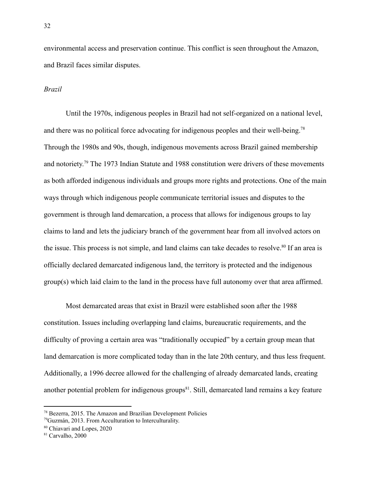environmental access and preservation continue. This conflict is seen throughout the Amazon, and Brazil faces similar disputes.

#### *Brazil*

Until the 1970s, indigenous peoples in Brazil had not self-organized on a national level, and there was no political force advocating for indigenous peoples and their well-being.<sup>78</sup> Through the 1980s and 90s, though, indigenous movements across Brazil gained membership and notoriety.<sup>79</sup> The 1973 Indian Statute and 1988 constitution were drivers of these movements as both afforded indigenous individuals and groups more rights and protections. One of the main ways through which indigenous people communicate territorial issues and disputes to the government is through land demarcation, a process that allows for indigenous groups to lay claims to land and lets the judiciary branch of the government hear from all involved actors on the issue. This process is not simple, and land claims can take decades to resolve.<sup>80</sup> If an area is officially declared demarcated indigenous land, the territory is protected and the indigenous group(s) which laid claim to the land in the process have full autonomy over that area affirmed.

Most demarcated areas that exist in Brazil were established soon after the 1988 constitution. Issues including overlapping land claims, bureaucratic requirements, and the difficulty of proving a certain area was "traditionally occupied" by a certain group mean that land demarcation is more complicated today than in the late 20th century, and thus less frequent. Additionally, a 1996 decree allowed for the challenging of already demarcated lands, creating another potential problem for indigenous groups<sup>81</sup>. Still, demarcated land remains a key feature

 $78$  Bezerra, 2015. The Amazon and Brazilian Development Policies

<sup>79</sup>Guzmán, 2013. From Acculturation to Interculturality.

<sup>80</sup> Chiavari and Lopes, 2020

<sup>81</sup> Carvalho, 2000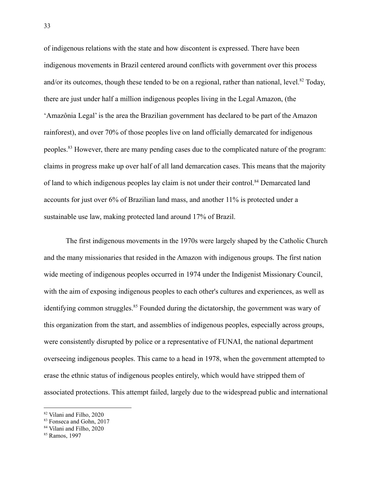of indigenous relations with the state and how discontent is expressed. There have been indigenous movements in Brazil centered around conflicts with government over this process and/or its outcomes, though these tended to be on a regional, rather than national, level.<sup>82</sup> Today, there are just under half a million indigenous peoples living in the Legal Amazon, (the 'Amazônia Legal' is the area the Brazilian government has declared to be part of the Amazon rainforest), and over 70% of those peoples live on land officially demarcated for indigenous peoples.<sup>83</sup> However, there are many pending cases due to the complicated nature of the program: claims in progress make up over half of all land demarcation cases. This means that the majority of land to which indigenous peoples lay claim is not under their control.<sup>84</sup> Demarcated land accounts for just over 6% of Brazilian land mass, and another 11% is protected under a sustainable use law, making protected land around 17% of Brazil.

The first indigenous movements in the 1970s were largely shaped by the Catholic Church and the many missionaries that resided in the Amazon with indigenous groups. The first nation wide meeting of indigenous peoples occurred in 1974 under the Indigenist Missionary Council, with the aim of exposing indigenous peoples to each other's cultures and experiences, as well as identifying common struggles.<sup>85</sup> Founded during the dictatorship, the government was wary of this organization from the start, and assemblies of indigenous peoples, especially across groups, were consistently disrupted by police or a representative of FUNAI, the national department overseeing indigenous peoples. This came to a head in 1978, when the government attempted to erase the ethnic status of indigenous peoples entirely, which would have stripped them of associated protections. This attempt failed, largely due to the widespread public and international

<sup>82</sup> Vilani and Filho, 2020

<sup>&</sup>lt;sup>83</sup> Fonseca and Gohn, 2017

<sup>84</sup> Vilani and Filho, 2020

<sup>85</sup> Ramos, 1997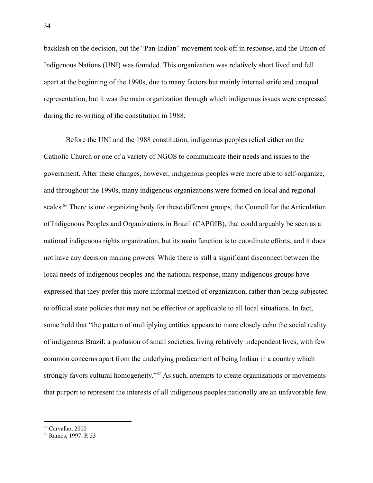backlash on the decision, but the "Pan-Indian" movement took off in response, and the Union of Indigenous Nations (UNI) was founded. This organization was relatively short lived and fell apart at the beginning of the 1990s, due to many factors but mainly internal strife and unequal representation, but it was the main organization through which indigenous issues were expressed during the re-writing of the constitution in 1988.

Before the UNI and the 1988 constitution, indigenous peoples relied either on the Catholic Church or one of a variety of NGOS to communicate their needs and issues to the government. After these changes, however, indigenous peoples were more able to self-organize, and throughout the 1990s, many indigenous organizations were formed on local and regional scales.<sup>86</sup> There is one organizing body for these different groups, the Council for the Articulation of Indigenous Peoples and Organizations in Brazil (CAPOIB), that could arguably be seen as a national indigenous rights organization, but its main function is to coordinate efforts, and it does not have any decision making powers. While there is still a significant disconnect between the local needs of indigenous peoples and the national response, many indigenous groups have expressed that they prefer this more informal method of organization, rather than being subjected to official state policies that may not be effective or applicable to all local situations. In fact, some hold that "the pattern of multiplying entities appears to more closely echo the social reality of indigenous Brazil: a profusion of small societies, living relatively independent lives, with few common concerns apart from the underlying predicament of being Indian in a country which strongly favors cultural homogeneity."<sup>87</sup> As such, attempts to create organizations or movements that purport to represent the interests of all indigenous peoples nationally are an unfavorable few.

<sup>86</sup> Carvalho, 2000

<sup>87</sup> Ramos, 1997. P. 53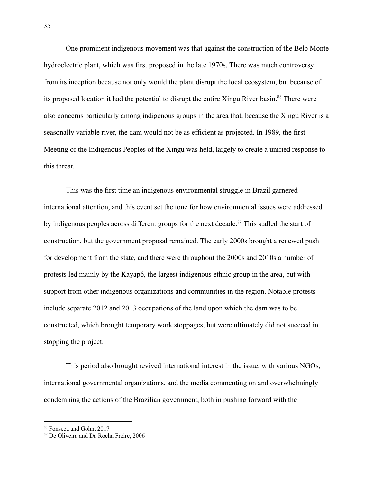One prominent indigenous movement was that against the construction of the Belo Monte hydroelectric plant, which was first proposed in the late 1970s. There was much controversy from its inception because not only would the plant disrupt the local ecosystem, but because of its proposed location it had the potential to disrupt the entire Xingu River basin.<sup>88</sup> There were also concerns particularly among indigenous groups in the area that, because the Xingu River is a seasonally variable river, the dam would not be as efficient as projected. In 1989, the first Meeting of the Indigenous Peoples of the Xingu was held, largely to create a unified response to this threat.

This was the first time an indigenous environmental struggle in Brazil garnered international attention, and this event set the tone for how environmental issues were addressed by indigenous peoples across different groups for the next decade.<sup>89</sup> This stalled the start of construction, but the government proposal remained. The early 2000s brought a renewed push for development from the state, and there were throughout the 2000s and 2010s a number of protests led mainly by the Kayapó, the largest indigenous ethnic group in the area, but with support from other indigenous organizations and communities in the region. Notable protests include separate 2012 and 2013 occupations of the land upon which the dam was to be constructed, which brought temporary work stoppages, but were ultimately did not succeed in stopping the project.

This period also brought revived international interest in the issue, with various NGOs, international governmental organizations, and the media commenting on and overwhelmingly condemning the actions of the Brazilian government, both in pushing forward with the

<sup>88</sup> Fonseca and Gohn, 2017

<sup>89</sup> De Oliveira and Da Rocha Freire, 2006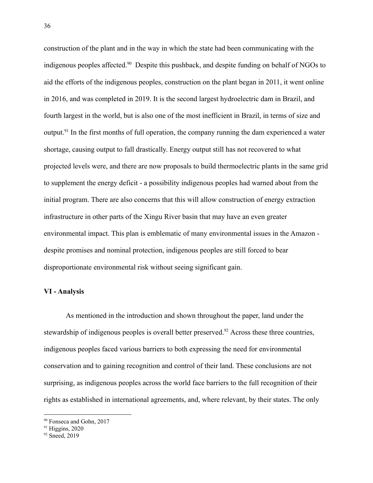construction of the plant and in the way in which the state had been communicating with the indigenous peoples affected.<sup>90</sup> Despite this pushback, and despite funding on behalf of NGOs to aid the efforts of the indigenous peoples, construction on the plant began in 2011, it went online in 2016, and was completed in 2019. It is the second largest hydroelectric dam in Brazil, and fourth largest in the world, but is also one of the most inefficient in Brazil, in terms of size and output.<sup>91</sup> In the first months of full operation, the company running the dam experienced a water shortage, causing output to fall drastically. Energy output still has not recovered to what projected levels were, and there are now proposals to build thermoelectric plants in the same grid to supplement the energy deficit - a possibility indigenous peoples had warned about from the initial program. There are also concerns that this will allow construction of energy extraction infrastructure in other parts of the Xingu River basin that may have an even greater environmental impact. This plan is emblematic of many environmental issues in the Amazon despite promises and nominal protection, indigenous peoples are still forced to bear disproportionate environmental risk without seeing significant gain.

### **VI - Analysis**

As mentioned in the introduction and shown throughout the paper, land under the stewardship of indigenous peoples is overall better preserved.<sup>92</sup> Across these three countries, indigenous peoples faced various barriers to both expressing the need for environmental conservation and to gaining recognition and control of their land. These conclusions are not surprising, as indigenous peoples across the world face barriers to the full recognition of their rights as established in international agreements, and, where relevant, by their states. The only

<sup>90</sup> Fonseca and Gohn, 2017

 $91$  Higgins, 2020

<sup>&</sup>lt;sup>92</sup> Sneed, 2019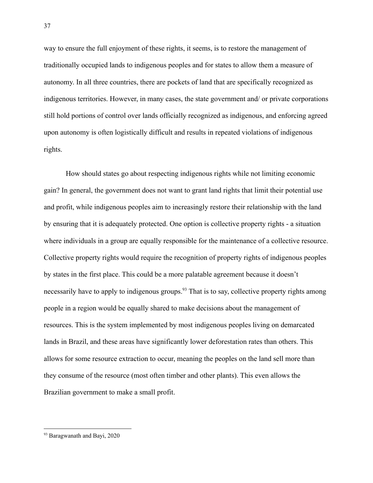way to ensure the full enjoyment of these rights, it seems, is to restore the management of traditionally occupied lands to indigenous peoples and for states to allow them a measure of autonomy. In all three countries, there are pockets of land that are specifically recognized as indigenous territories. However, in many cases, the state government and/ or private corporations still hold portions of control over lands officially recognized as indigenous, and enforcing agreed upon autonomy is often logistically difficult and results in repeated violations of indigenous rights.

How should states go about respecting indigenous rights while not limiting economic gain? In general, the government does not want to grant land rights that limit their potential use and profit, while indigenous peoples aim to increasingly restore their relationship with the land by ensuring that it is adequately protected. One option is collective property rights - a situation where individuals in a group are equally responsible for the maintenance of a collective resource. Collective property rights would require the recognition of property rights of indigenous peoples by states in the first place. This could be a more palatable agreement because it doesn't necessarily have to apply to indigenous groups.<sup>93</sup> That is to say, collective property rights among people in a region would be equally shared to make decisions about the management of resources. This is the system implemented by most indigenous peoples living on demarcated lands in Brazil, and these areas have significantly lower deforestation rates than others. This allows for some resource extraction to occur, meaning the peoples on the land sell more than they consume of the resource (most often timber and other plants). This even allows the Brazilian government to make a small profit.

<sup>93</sup> Baragwanath and Bayi, 2020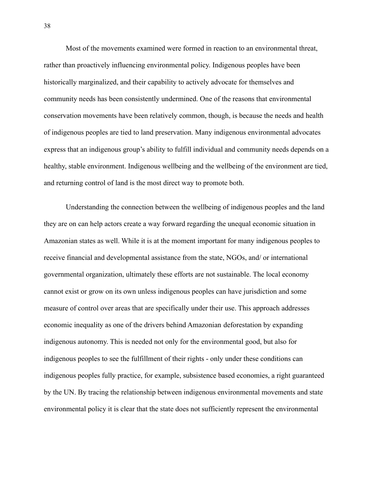Most of the movements examined were formed in reaction to an environmental threat, rather than proactively influencing environmental policy. Indigenous peoples have been historically marginalized, and their capability to actively advocate for themselves and community needs has been consistently undermined. One of the reasons that environmental conservation movements have been relatively common, though, is because the needs and health of indigenous peoples are tied to land preservation. Many indigenous environmental advocates express that an indigenous group's ability to fulfill individual and community needs depends on a healthy, stable environment. Indigenous wellbeing and the wellbeing of the environment are tied, and returning control of land is the most direct way to promote both.

Understanding the connection between the wellbeing of indigenous peoples and the land they are on can help actors create a way forward regarding the unequal economic situation in Amazonian states as well. While it is at the moment important for many indigenous peoples to receive financial and developmental assistance from the state, NGOs, and/ or international governmental organization, ultimately these efforts are not sustainable. The local economy cannot exist or grow on its own unless indigenous peoples can have jurisdiction and some measure of control over areas that are specifically under their use. This approach addresses economic inequality as one of the drivers behind Amazonian deforestation by expanding indigenous autonomy. This is needed not only for the environmental good, but also for indigenous peoples to see the fulfillment of their rights - only under these conditions can indigenous peoples fully practice, for example, subsistence based economies, a right guaranteed by the UN. By tracing the relationship between indigenous environmental movements and state environmental policy it is clear that the state does not sufficiently represent the environmental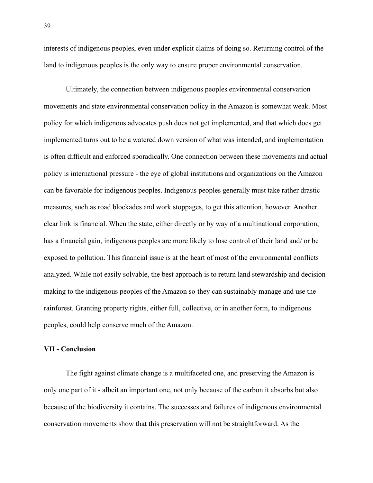interests of indigenous peoples, even under explicit claims of doing so. Returning control of the land to indigenous peoples is the only way to ensure proper environmental conservation.

Ultimately, the connection between indigenous peoples environmental conservation movements and state environmental conservation policy in the Amazon is somewhat weak. Most policy for which indigenous advocates push does not get implemented, and that which does get implemented turns out to be a watered down version of what was intended, and implementation is often difficult and enforced sporadically. One connection between these movements and actual policy is international pressure - the eye of global institutions and organizations on the Amazon can be favorable for indigenous peoples. Indigenous peoples generally must take rather drastic measures, such as road blockades and work stoppages, to get this attention, however. Another clear link is financial. When the state, either directly or by way of a multinational corporation, has a financial gain, indigenous peoples are more likely to lose control of their land and/ or be exposed to pollution. This financial issue is at the heart of most of the environmental conflicts analyzed. While not easily solvable, the best approach is to return land stewardship and decision making to the indigenous peoples of the Amazon so they can sustainably manage and use the rainforest. Granting property rights, either full, collective, or in another form, to indigenous peoples, could help conserve much of the Amazon.

### **VII - Conclusion**

The fight against climate change is a multifaceted one, and preserving the Amazon is only one part of it - albeit an important one, not only because of the carbon it absorbs but also because of the biodiversity it contains. The successes and failures of indigenous environmental conservation movements show that this preservation will not be straightforward. As the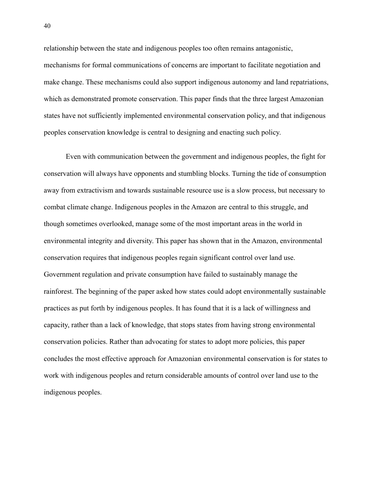relationship between the state and indigenous peoples too often remains antagonistic, mechanisms for formal communications of concerns are important to facilitate negotiation and make change. These mechanisms could also support indigenous autonomy and land repatriations, which as demonstrated promote conservation. This paper finds that the three largest Amazonian states have not sufficiently implemented environmental conservation policy, and that indigenous peoples conservation knowledge is central to designing and enacting such policy.

Even with communication between the government and indigenous peoples, the fight for conservation will always have opponents and stumbling blocks. Turning the tide of consumption away from extractivism and towards sustainable resource use is a slow process, but necessary to combat climate change. Indigenous peoples in the Amazon are central to this struggle, and though sometimes overlooked, manage some of the most important areas in the world in environmental integrity and diversity. This paper has shown that in the Amazon, environmental conservation requires that indigenous peoples regain significant control over land use. Government regulation and private consumption have failed to sustainably manage the rainforest. The beginning of the paper asked how states could adopt environmentally sustainable practices as put forth by indigenous peoples. It has found that it is a lack of willingness and capacity, rather than a lack of knowledge, that stops states from having strong environmental conservation policies. Rather than advocating for states to adopt more policies, this paper concludes the most effective approach for Amazonian environmental conservation is for states to work with indigenous peoples and return considerable amounts of control over land use to the indigenous peoples.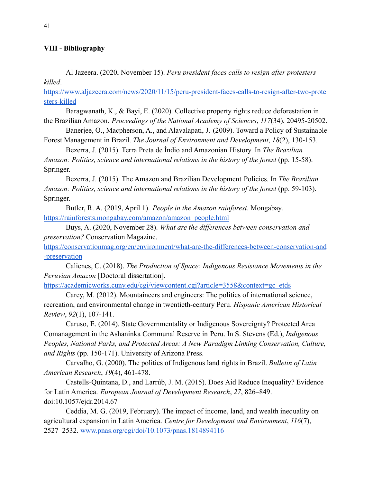# **VIII - Bibliography**

Al Jazeera. (2020, November 15). *Peru president faces calls to resign after protesters killed*.

[https://www.aljazeera.com/news/2020/11/15/peru-president-faces-calls-to-resign-after-two-prote](https://www.aljazeera.com/news/2020/11/15/peru-president-faces-calls-to-resign-after-two-protesters-killed) [sters-killed](https://www.aljazeera.com/news/2020/11/15/peru-president-faces-calls-to-resign-after-two-protesters-killed)

Baragwanath, K., & Bayi, E. (2020). Collective property rights reduce deforestation in the Brazilian Amazon. *Proceedings of the National Academy of Sciences*, *117*(34), 20495-20502.

Banerjee, O., Macpherson, A., and Alavalapati, J. (2009). Toward a Policy of Sustainable Forest Management in Brazil. *The Journal of Environment and Development*, *18*(2), 130-153. Bezerra, J. (2015). Terra Preta de Índio and Amazonian History. In *The Brazilian*

*Amazon: Politics, science and international relations in the history of the forest* (pp. 15-58). Springer.

Bezerra, J. (2015). The Amazon and Brazilian Development Policies. In *The Brazilian Amazon: Politics, science and international relations in the history of the forest* (pp. 59-103). Springer.

Butler, R. A. (2019, April 1). *People in the Amazon rainforest*. Mongabay. [https://rainforests.mongabay.com/amazon/amazon\\_people.html](https://rainforests.mongabay.com/amazon/amazon_people.html)

Buys, A. (2020, November 28). *What are the differences between conservation and preservation?* Conservation Magazine.

[https://conservationmag.org/en/environment/what-are-the-differences-between-conservation-and](https://conservationmag.org/en/environment/what-are-the-differences-between-conservation-and-preservation) [-preservation](https://conservationmag.org/en/environment/what-are-the-differences-between-conservation-and-preservation)

Calienes, C. (2018). *The Production of Space: Indigenous Resistance Movements in the Peruvian Amazon* [Doctoral dissertation].

[https://academicworks.cuny.edu/cgi/viewcontent.cgi?article=3558&context=gc\\_etds](https://academicworks.cuny.edu/cgi/viewcontent.cgi?article=3558&context=gc_etds)

Carey, M. (2012). Mountaineers and engineers: The politics of international science, recreation, and environmental change in twentieth-century Peru. *Hispanic American Historical Review*, *92*(1), 107-141.

Caruso, E. (2014). State Governmentality or Indigenous Sovereignty? Protected Area Comanagement in the Ashaninka Communal Reserve in Peru. In S. Stevens (Ed.), *Indigenous Peoples, National Parks, and Protected Areas: A New Paradigm Linking Conservation, Culture, and Rights* (pp. 150-171). University of Arizona Press.

Carvalho, G. (2000). The politics of Indigenous land rights in Brazil. *Bulletin of Latin American Research*, *19*(4), 461-478.

Castells-Quintana, D., and Larrúb, J. M. (2015). Does Aid Reduce Inequality? Evidence for Latin America. *European Journal of Development Research*, *27*, 826–849. doi:10.1057/ejdr.2014.67

Ceddia, M. G. (2019, February). The impact of income, land, and wealth inequality on agricultural expansion in Latin America. *Centre for Development and Environment*, *116*(7), 2527–2532. [www.pnas.org/cgi/doi/10.1073/pnas.1814894116](http://www.pnas.org/cgi/doi/10.1073/pnas.1814894116)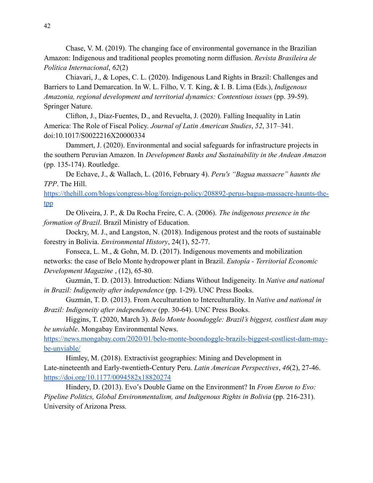Chase, V. M. (2019). The changing face of environmental governance in the Brazilian Amazon: Indigenous and traditional peoples promoting norm diffusion. *Revista Brasileira de Política Internacional*, *62*(2)

Chiavari, J., & Lopes, C. L. (2020). Indigenous Land Rights in Brazil: Challenges and Barriers to Land Demarcation. In W. L. Filho, V. T. King, & I. B. Lima (Eds.), *Indigenous Amazonia, regional development and territorial dynamics: Contentious issues* (pp. 39-59). Springer Nature.

Clifton, J., Díaz-Fuentes, D., and Revuelta, J. (2020). Falling Inequality in Latin America: The Role of Fiscal Policy. *Journal of Latin American Studies*, *52*, 317–341. doi:10.1017/S0022216X20000334

Dammert, J. (2020). Environmental and social safeguards for infrastructure projects in the southern Peruvian Amazon. In *Development Banks and Sustainability in the Andean Amazon* (pp. 135-174). Routledge.

De Echave, J., & Wallach, L. (2016, February 4). *Peru's "Bagua massacre" haunts the TPP*. The Hill.

[https://thehill.com/blogs/congress-blog/foreign-policy/208892-perus-bagua-massacre-haunts-the](https://thehill.com/blogs/congress-blog/foreign-policy/208892-perus-bagua-massacre-haunts-the-tpp)[tpp](https://thehill.com/blogs/congress-blog/foreign-policy/208892-perus-bagua-massacre-haunts-the-tpp)

De Oliveira, J. P., & Da Rocha Freire, C. A. (2006). *The indigenous presence in the formation of Brazil*. Brazil Ministry of Education.

Dockry, M. J., and Langston, N. (2018). Indigenous protest and the roots of sustainable forestry in Bolivia. *Environmental History*, 24(1), 52-77.

Fonseca, L. M., & Gohn, M. D. (2017). Indigenous movements and mobilization networks: the case of Belo Monte hydropower plant in Brazil. *Eutopía - Territorial Economic Development Magazine* , (12), 65-80.

Guzmán, T. D. (2013). Introduction: Ndians Without Indigeneity. In *Native and national in Brazil: Indigeneity after independence* (pp. 1-29). UNC Press Books.

Guzmán, T. D. (2013). From Acculturation to Interculturality. In *Native and national in Brazil: Indigeneity after independence* (pp. 30-64). UNC Press Books.

Higgins, T. (2020, March 3). *Belo Monte boondoggle: Brazil's biggest, costliest dam may be unviable*. Mongabay Environmental News.

[https://news.mongabay.com/2020/01/belo-monte-boondoggle-brazils-biggest-costliest-dam-may](https://news.mongabay.com/2020/01/belo-monte-boondoggle-brazils-biggest-costliest-dam-may-be-unviable/)[be-unviable/](https://news.mongabay.com/2020/01/belo-monte-boondoggle-brazils-biggest-costliest-dam-may-be-unviable/)

Himley, M. (2018). Extractivist geographies: Mining and Development in Late-nineteenth and Early-twentieth-Century Peru. *Latin American Perspectives*, *46*(2), 27-46. <https://doi.org/10.1177/0094582x18820274>

Hindery, D. (2013). Evo's Double Game on the Environment? In *From Enron to Evo: Pipeline Politics, Global Environmentalism, and Indigenous Rights in Bolivia* (pp. 216-231). University of Arizona Press.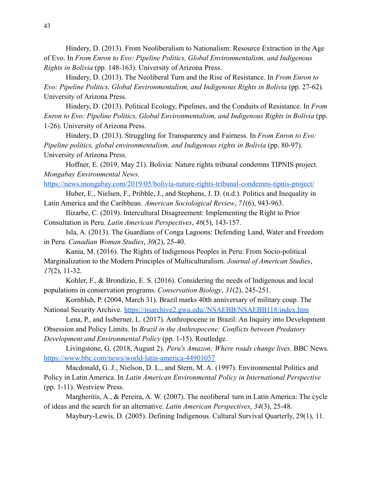Hindery, D. (2013). From Neoliberalism to Nationalism: Resource Extraction in the Age of Evo. In *From Enron to Evo: Pipeline Politics, Global Environmentalism, and Indigenous Rights in Bolivia* (pp. 148-163). University of Arizona Press.

Hindery, D. (2013). The Neoliberal Turn and the Rise of Resistance. In *From Enron to Evo: Pipeline Politics, Global Environmentalism, and Indigenous Rights in Bolivia* (pp. 27-62). University of Arizona Press.

Hindery, D. (2013). Political Ecology, Pipelines, and the Conduits of Resistance. In *From Enron to Evo: Pipeline Politics, Global Environmentalism, and Indigenous Rights in Bolivia* (pp. 1-26). University of Arizona Press.

Hindery, D. (2013). Struggling for Transparency and Fairness. In *From Enron to Evo: Pipeline politics, global environmentalism, and Indigenous rights in Bolivia* (pp. 80-97). University of Arizona Press.

Hoffner, E. (2019, May 21). Bolivia: Nature rights tribunal condemns TIPNIS project. *Mongabay Environmental News*.

<https://news.mongabay.com/2019/05/bolivia-nature-rights-tribunal-condemns-tipnis-project/>

Huber, E., Nielsen, F., Pribble, J., and Stephens, J. D. (n.d.). Politics and Inequality in Latin America and the Caribbean. *American Sociological Review*, *71*(6), 943-963.

Ilizarbe, C. (2019). Intercultural Disagreement: Implementing the Right to Prior Consultation in Peru. *Latin American Perspectives*, *46*(5), 143-157.

Isla, A. (2013). The Guardians of Conga Lagoons: Defending Land, Water and Freedom in Peru. *Canadian Woman Studies*, *30*(2), 25-40.

Kania, M. (2016). The Rights of Indigenous Peoples in Peru: From Socio-political Marginalization to the Modern Principles of Multiculturalism. *Journal of American Studies*, *17*(2), 11-32.

Kohler, F., & Brondizio, E. S. (2016). Considering the needs of Indigenous and local populations in conservation programs. *Conservation Biology*, *31*(2), 245-251.

Kornbluh, P. (2004, March 31). Brazil marks 40th anniversary of military coup. The National Security Archive. <https://nsarchive2.gwu.edu//NSAEBB/NSAEBB118/index.htm>

Lena, P., and Issberner, L. (2017). Anthropocene in Brazil: An Inquiry into Development Obsession and Policy Limits. In *Brazil in the Anthropocene: Conflicts between Predatory Development and Environmental Policy* (pp. 1-15). Routledge.

Livingstone, G. (2018, August 2). *Peru's Amazon: Where roads change lives*. BBC News. <https://www.bbc.com/news/world-latin-america-44901057>

Macdonald, G. J., Nielson, D. L., and Stern, M. A. (1997). Environmental Politics and Policy in Latin America. In *Latin American Environmental Policy in International Perspective* (pp. 1-11). Westview Press.

Margheritis, A., & Pereira, A. W. (2007). The neoliberal turn in Latin America: The cycle of ideas and the search for an alternative. *Latin American Perspectives*, *34*(3), 25-48.

Maybury-Lewis, D. (2005). Defining Indigenous. Cultural Survival Quarterly, 29(1), 11.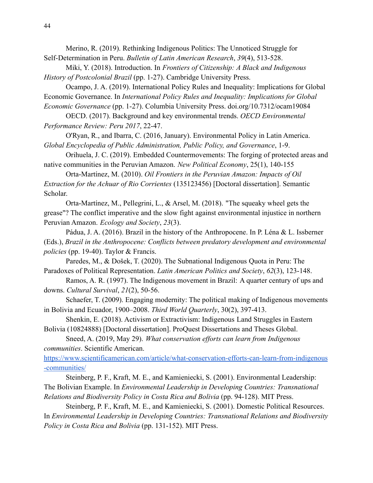Merino, R. (2019). Rethinking Indigenous Politics: The Unnoticed Struggle for Self-Determination in Peru. *Bulletin of Latin American Research*, *39*(4), 513-528.

Miki, Y. (2018). Introduction. In *Frontiers of Citizenship: A Black and Indigenous History of Postcolonial Brazil* (pp. 1-27). Cambridge University Press.

Ocampo, J. A. (2019). International Policy Rules and Inequality: Implications for Global Economic Governance. In *International Policy Rules and Inequality: Implications for Global Economic Governance* (pp. 1-27). Columbia University Press. doi.org/10.7312/ocam19084

OECD. (2017). Background and key environmental trends. *OECD Environmental Performance Review: Peru 2017*, 22-47.

O'Ryan, R., and Ibarra, C. (2016, January). Environmental Policy in Latin America. *Global Encyclopedia of Public Administration, Public Policy, and Governance*, 1-9.

Orihuela, J. C. (2019). Embedded Countermovements: The forging of protected areas and native communities in the Peruvian Amazon. *New Political Economy*, 25(1), 140-155

Orta-Martínez, M. (2010). *Oil Frontiers in the Peruvian Amazon: Impacts of Oil Extraction for the Achuar of Rio Corrientes* (135123456) [Doctoral dissertation]. Semantic Scholar.

Orta-Martínez, M., Pellegrini, L., & Arsel, M. (2018). "The squeaky wheel gets the grease"? The conflict imperative and the slow fight against environmental injustice in northern Peruvian Amazon. *Ecology and Society*, *23*(3).

Pádua, J. A. (2016). Brazil in the history of the Anthropocene. In P. Léna & L. Issberner (Eds.), *Brazil in the Anthropocene: Conflicts between predatory development and environmental policies* (pp. 19-40). Taylor & Francis.

Paredes, M., & Došek, T. (2020). The Subnational Indigenous Quota in Peru: The Paradoxes of Political Representation. *Latin American Politics and Society*, *62*(3), 123-148.

Ramos, A. R. (1997). The Indigenous movement in Brazil: A quarter century of ups and downs. *Cultural Survival*, *21*(2), 50-56.

Schaefer, T. (2009). Engaging modernity: The political making of Indigenous movements in Bolivia and Ecuador, 1900–2008. *Third World Quarterly*, 30(2), 397-413.

Shenkin, E. (2018). Activism or Extractivism: Indigenous Land Struggles in Eastern Bolivia (10824888) [Doctoral dissertation]. ProQuest Dissertations and Theses Global.

Sneed, A. (2019, May 29). *What conservation efforts can learn from Indigenous communities*. Scientific American.

[https://www.scientificamerican.com/article/what-conservation-efforts-can-learn-from-indigenous](https://www.scientificamerican.com/article/what-conservation-efforts-can-learn-from-indigenous-communities/) [-communities/](https://www.scientificamerican.com/article/what-conservation-efforts-can-learn-from-indigenous-communities/)

Steinberg, P. F., Kraft, M. E., and Kamieniecki, S. (2001). Environmental Leadership: The Bolivian Example. In *Environmental Leadership in Developing Countries: Transnational Relations and Biodiversity Policy in Costa Rica and Bolivia* (pp. 94-128). MIT Press.

Steinberg, P. F., Kraft, M. E., and Kamieniecki, S. (2001). Domestic Political Resources. In *Environmental Leadership in Developing Countries: Transnational Relations and Biodiversity Policy in Costa Rica and Bolivia* (pp. 131-152). MIT Press.